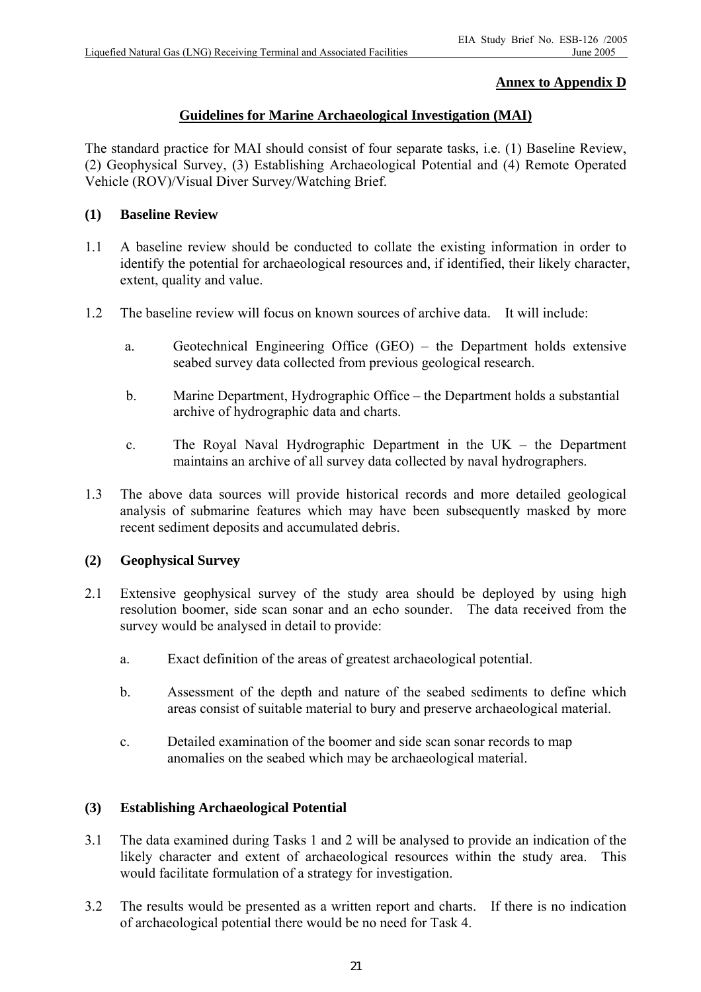# **Annex to Appendix D**

## **Guidelines for Marine Archaeological Investigation (MAI)**

The standard practice for MAI should consist of four separate tasks, i.e. (1) Baseline Review, (2) Geophysical Survey, (3) Establishing Archaeological Potential and (4) Remote Operated Vehicle (ROV)/Visual Diver Survey/Watching Brief.

### **(1) Baseline Review**

- 1.1 A baseline review should be conducted to collate the existing information in order to identify the potential for archaeological resources and, if identified, their likely character, extent, quality and value.
- 1.2 The baseline review will focus on known sources of archive data. It will include:
	- a. Geotechnical Engineering Office (GEO) the Department holds extensive seabed survey data collected from previous geological research.
	- b. Marine Department, Hydrographic Office the Department holds a substantial archive of hydrographic data and charts.
	- c. The Royal Naval Hydrographic Department in the UK the Department maintains an archive of all survey data collected by naval hydrographers.
- 1.3 The above data sources will provide historical records and more detailed geological analysis of submarine features which may have been subsequently masked by more recent sediment deposits and accumulated debris.

### **(2) Geophysical Survey**

- 2.1 Extensive geophysical survey of the study area should be deployed by using high resolution boomer, side scan sonar and an echo sounder. The data received from the survey would be analysed in detail to provide:
	- a. Exact definition of the areas of greatest archaeological potential.
	- b. Assessment of the depth and nature of the seabed sediments to define which areas consist of suitable material to bury and preserve archaeological material.
	- c. Detailed examination of the boomer and side scan sonar records to map anomalies on the seabed which may be archaeological material.

### **(3) Establishing Archaeological Potential**

- 3.1 The data examined during Tasks 1 and 2 will be analysed to provide an indication of the likely character and extent of archaeological resources within the study area. This would facilitate formulation of a strategy for investigation.
- 3.2 The results would be presented as a written report and charts. If there is no indication of archaeological potential there would be no need for Task 4.